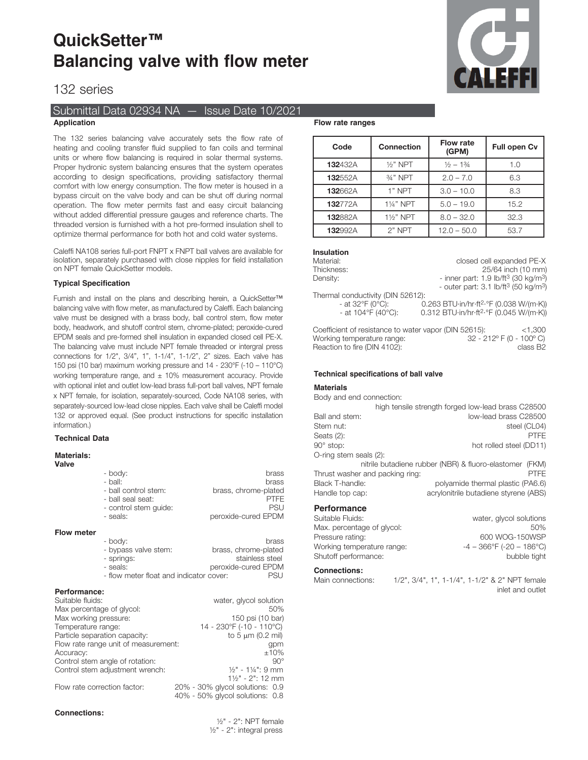# **QuickSetter™ Balancing valve with flow meter**



## 132 series

## Submittal Data 02934  $NA$  - Issue Date

#### **Application**

The 132 series balancing valve accurately sets the flow rate of heating and cooling transfer fluid supplied to fan coils and terminal units or where flow balancing is required in solar thermal systems. Proper hydronic system balancing ensures that the system operates according to design specifications, providing satisfactory thermal comfort with low energy consumption. The flow meter is housed in a bypass circuit on the valve body and can be shut off during normal operation. The flow meter permits fast and easy circuit balancing without added differential pressure gauges and reference charts. The threaded version is furnished with a hot pre-formed insulation shell to optimize thermal performance for both hot and cold water systems.

Caleffi NA108 series full-port FNPT x FNPT ball valves are available for isolation, separately purchased with close nipples for field installation on NPT female QuickSetter models.

#### **Typical Specification**

Furnish and install on the plans and describing herein, a QuickSetter™ balancing valve with flow meter, as manufactured by Caleffi. Each balancing valve must be designed with a brass body, ball control stem, flow meter body, headwork, and shutoff control stem, chrome-plated; peroxide-cured EPDM seals and pre-formed shell insulation in expanded closed cell PE-X. The balancing valve must include NPT female threaded or intergral press connections for 1/2", 3/4", 1", 1-1/4", 1-1/2", 2" sizes. Each valve has 150 psi (10 bar) maximum working pressure and 14 - 230°F (-10 – 110°C) working temperature range, and  $\pm$  10% measurement accuracy. Provide with optional inlet and outlet low-lead brass full-port ball valves, NPT female x NPT female, for isolation, separately-sourced, Code NA108 series, with separately-sourced low-lead close nipples. Each valve shall be Caleffi model 132 or approved equal. (See product instructions for specific installation information.)

## **Technical Data**

### **Materials:**

## Valve

| - body:               | brass                |
|-----------------------|----------------------|
| - ball:               | <b>brass</b>         |
| - ball control stem:  | brass, chrome-plated |
| - ball seal seat:     | <b>PTFF</b>          |
| - control stem quide: | P.SU                 |
| - seals:              | peroxide-cured EPDM  |

#### Flow meter

| - body:                                 | <b>brass</b>         |
|-----------------------------------------|----------------------|
| - bypass valve stem:                    | brass, chrome-plated |
| - springs:                              | stainless steel      |
| - seals:                                | peroxide-cured EPDM  |
| - flow meter float and indicator cover: | P.SI I               |

#### **Performance:**

| Suitable fluids:                     | water, glycol solution          |
|--------------------------------------|---------------------------------|
| Max percentage of glycol:            | 50%                             |
| Max working pressure:                | 150 psi (10 bar)                |
| Temperature range:                   | 14 - 230°F (-10 - 110°C)        |
| Particle separation capacity:        | to $5 \mu m$ (0.2 mil)          |
| Flow rate range unit of measurement: | qpm                             |
| Accuracy:                            | ±10%                            |
| Control stem angle of rotation:      | $90^\circ$                      |
| Control stem adjustment wrench:      | $\frac{1}{2}$ " - 1¼": 9 mm     |
|                                      | $1\frac{1}{2}$ " - 2": 12 mm    |
| Flow rate correction factor:         | 20% - 30% glycol solutions: 0.9 |
|                                      | 40% - 50% glycol solutions: 0.8 |

#### **Connections:**

½" - 2": NPT female ½" - 2": integral press

#### **Flow rate ranges**

| Code           | Connection             | <b>Flow rate</b><br>(GPM)        | <b>Full open Cv</b> |
|----------------|------------------------|----------------------------------|---------------------|
| 132432A        | $1/2$ " NPT            | $\frac{1}{6}$ - 13 $\frac{1}{4}$ | 1.0                 |
| <b>132552A</b> | 34" NPT                | $2.0 - 7.0$                      | 6.3                 |
| 132662A        | 1" NPT                 | $3.0 - 10.0$                     | 8.3                 |
| 132772A        | 11/ <sub>4</sub> " NPT | $5.0 - 19.0$                     | 15.2                |
| 132882A        | 1½" NPT                | $8.0 - 32.0$                     | 32.3                |
| 132992A        | $2"$ NPT               | $12.0 - 50.0$                    | 53.7                |

## Insulation

| Material:                                             | closed cell expanded PE-X                           |                    |
|-------------------------------------------------------|-----------------------------------------------------|--------------------|
| Thickness:                                            |                                                     | 25/64 inch (10 mm) |
| Density:                                              | - inner part: $1.9$ lb/ft $3$ (30 kg/m $3$ )        |                    |
|                                                       | - outer part: $3.1$ lb/ft $3$ (50 kg/m $3$ )        |                    |
| Thermal conductivity (DIN 52612):                     |                                                     |                    |
| - at $32^{\circ}F$ (0 $^{\circ}C$ ):                  | 0.263 BTU·in/hr·ft <sup>2</sup> ·°F (0.038 W/(m·K)) |                    |
| - at $104^{\circ}F(40^{\circ}C)$ :                    | 0.312 BTU·in/hr·ft <sup>2</sup> ·°F (0.045 W/(m·K)) |                    |
| Coefficient of resistance to water vapor (DIN 52615): |                                                     | < 1.300            |
| Morking temperature ranger                            | $32 - 212^{\circ}$ F (0 - 100° C)                   |                    |

Working temperature - 212º F (0 - 100º C)<br>29 class B Reaction to fire (DIN 4102):

#### **Technical specifications of ball valve**

#### **Materials**

Body and end connection: high tensile strength forged low-lead brass C28500 Ball and stem: low-lead brass C28500 Stem nut: steel (CL04) Seats (2): PTFE 90° stop: hot rolled steel (DD11) O-ring stem seals (2): nitrile butadiene rubber (NBR) & fluoro-elastomer (FKM) Thrust washer and packing ring: Thrust washer and packing ring: Black T-handle: polyamide thermal plastic (PA6.6) Handle top cap: acrylonitrile butadiene styrene (ABS)

## **Performance**

| Suitable Fluids:           | water, glycol solutions                  |
|----------------------------|------------------------------------------|
| Max. percentage of glycol: | 50%                                      |
| Pressure rating:           | 600 WOG-150WSP                           |
| Working temperature range: | $-4 - 366^{\circ}F (-20 - 186^{\circ}C)$ |
| Shutoff performance:       | bubble tight                             |
|                            |                                          |

#### **Connections:**

Main connections: 1/2", 3/4", 1", 1-1/4", 1-1/2" & 2" NPT female inlet and outlet